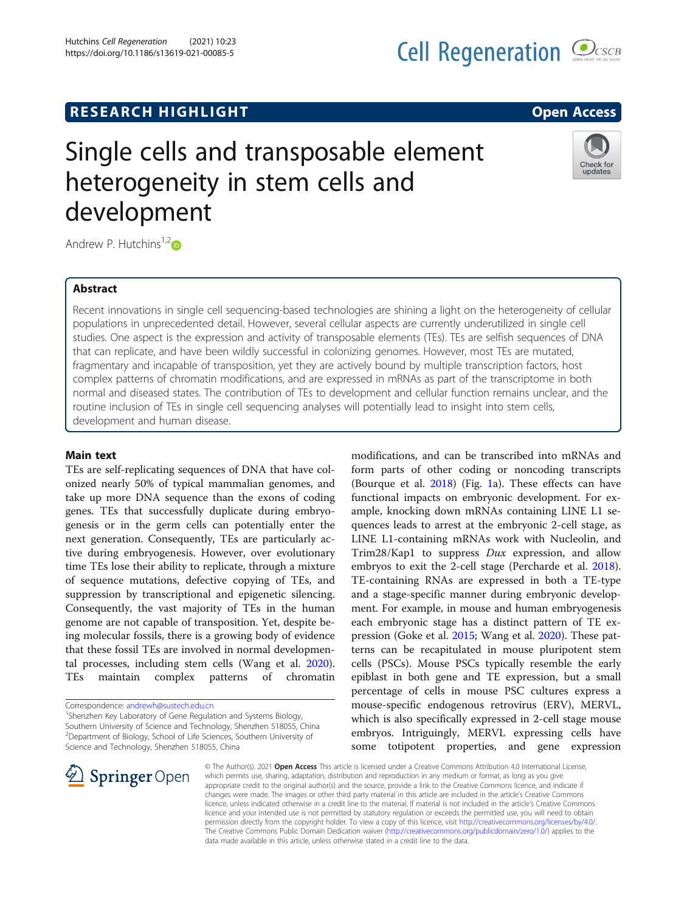# R E S EAR CH HIGH LIGH THAT LIGHT THAT THE RELATIONSHIP OF THE RELATIONSHIP OF THE RELATIONSHIP OF THE RELATION

# Single cells and transposable element heterogeneity in stem cells and development



Andrew P. Hutchins<sup>1,[2](http://orcid.org/0000-0001-7784-2255)</sup> $\bullet$ 

## **Abstract**

Recent innovations in single cell sequencing-based technologies are shining a light on the heterogeneity of cellular populations in unprecedented detail. However, several cellular aspects are currently underutilized in single cell studies. One aspect is the expression and activity of transposable elements (TEs). TEs are selfish sequences of DNA that can replicate, and have been wildly successful in colonizing genomes. However, most TEs are mutated, fragmentary and incapable of transposition, yet they are actively bound by multiple transcription factors, host complex patterns of chromatin modifications, and are expressed in mRNAs as part of the transcriptome in both normal and diseased states. The contribution of TEs to development and cellular function remains unclear, and the routine inclusion of TEs in single cell sequencing analyses will potentially lead to insight into stem cells, development and human disease.

Main text TEs are self-replicating sequences of DNA that have colonized nearly 50% of typical mammalian genomes, and take up more DNA sequence than the exons of coding genes. TEs that successfully duplicate during embryogenesis or in the germ cells can potentially enter the next generation. Consequently, TEs are particularly active during embryogenesis. However, over evolutionary time TEs lose their ability to replicate, through a mixture of sequence mutations, defective copying of TEs, and suppression by transcriptional and epigenetic silencing. Consequently, the vast majority of TEs in the human genome are not capable of transposition. Yet, despite being molecular fossils, there is a growing body of evidence that these fossil TEs are involved in normal developmental processes, including stem cells (Wang et al. [2020](#page-3-0)). TEs maintain complex patterns of chromatin

<sup>1</sup>Shenzhen Key Laboratory of Gene Regulation and Systems Biology, Southern University of Science and Technology, Shenzhen 518055, China <sup>2</sup>Department of Biology, School of Life Sciences, Southern University of Science and Technology, Shenzhen 518055, China



modifications, and can be transcribed into mRNAs and form parts of other coding or noncoding transcripts (Bourque et al. [2018\)](#page-3-0) (Fig. [1a](#page-1-0)). These effects can have functional impacts on embryonic development. For example, knocking down mRNAs containing LINE L1 sequences leads to arrest at the embryonic 2-cell stage, as LINE L1-containing mRNAs work with Nucleolin, and Trim28/Kap1 to suppress Dux expression, and allow embryos to exit the 2-cell stage (Percharde et al. [2018](#page-3-0)). TE-containing RNAs are expressed in both a TE-type and a stage-specific manner during embryonic development. For example, in mouse and human embryogenesis each embryonic stage has a distinct pattern of TE expression (Goke et al. [2015;](#page-3-0) Wang et al. [2020\)](#page-3-0). These patterns can be recapitulated in mouse pluripotent stem cells (PSCs). Mouse PSCs typically resemble the early epiblast in both gene and TE expression, but a small percentage of cells in mouse PSC cultures express a mouse-specific endogenous retrovirus (ERV), MERVL, which is also specifically expressed in 2-cell stage mouse embryos. Intriguingly, MERVL expressing cells have some totipotent properties, and gene expression

© The Author(s). 2021 Open Access This article is licensed under a Creative Commons Attribution 4.0 International License, which permits use, sharing, adaptation, distribution and reproduction in any medium or format, as long as you give appropriate credit to the original author(s) and the source, provide a link to the Creative Commons licence, and indicate if changes were made. The images or other third party material in this article are included in the article's Creative Commons licence, unless indicated otherwise in a credit line to the material. If material is not included in the article's Creative Commons licence and your intended use is not permitted by statutory regulation or exceeds the permitted use, you will need to obtain permission directly from the copyright holder. To view a copy of this licence, visit <http://creativecommons.org/licenses/by/4.0/>. The Creative Commons Public Domain Dedication waiver ([http://creativecommons.org/publicdomain/zero/1.0/\)](http://creativecommons.org/publicdomain/zero/1.0/) applies to the data made available in this article, unless otherwise stated in a credit line to the data.

Correspondence: [andrewh@sustech.edu.cn](mailto:andrewh@sustech.edu.cn) <sup>1</sup>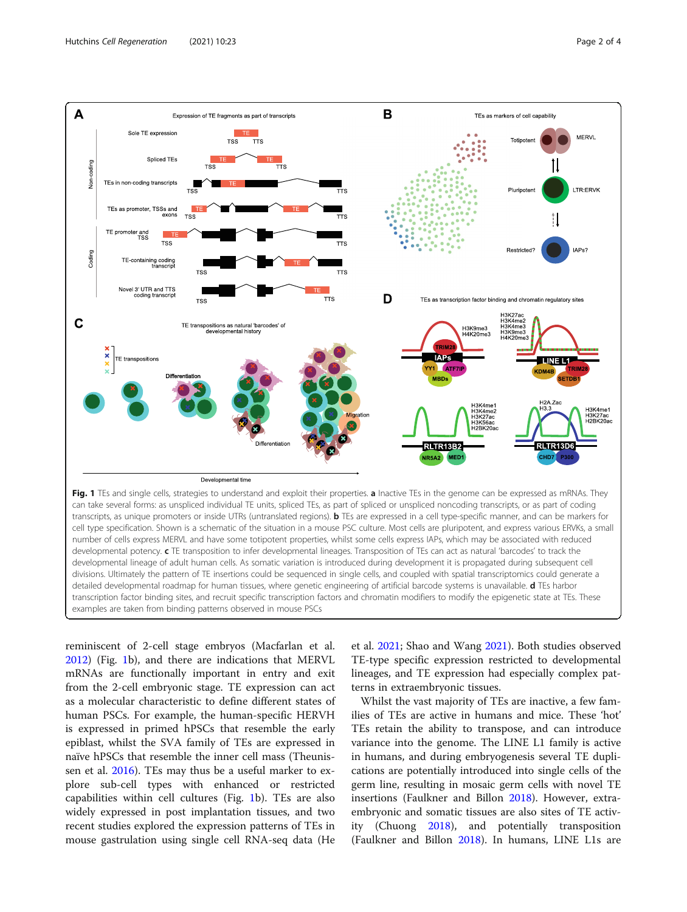<span id="page-1-0"></span>

number of cells express MERVL and have some totipotent properties, whilst some cells express IAPs, which may be associated with reduced developmental potency. c TE transposition to infer developmental lineages. Transposition of TEs can act as natural 'barcodes' to track the developmental lineage of adult human cells. As somatic variation is introduced during development it is propagated during subsequent cell divisions. Ultimately the pattern of TE insertions could be sequenced in single cells, and coupled with spatial transcriptomics could generate a detailed developmental roadmap for human tissues, where genetic engineering of artificial barcode systems is unavailable. d TEs harbor transcription factor binding sites, and recruit specific transcription factors and chromatin modifiers to modify the epigenetic state at TEs. These examples are taken from binding patterns observed in mouse PSCs

reminiscent of 2-cell stage embryos (Macfarlan et al. [2012](#page-3-0)) (Fig. 1b), and there are indications that MERVL mRNAs are functionally important in entry and exit from the 2-cell embryonic stage. TE expression can act as a molecular characteristic to define different states of human PSCs. For example, the human-specific HERVH is expressed in primed hPSCs that resemble the early epiblast, whilst the SVA family of TEs are expressed in naïve hPSCs that resemble the inner cell mass (Theunissen et al. [2016\)](#page-3-0). TEs may thus be a useful marker to explore sub-cell types with enhanced or restricted capabilities within cell cultures (Fig. 1b). TEs are also widely expressed in post implantation tissues, and two recent studies explored the expression patterns of TEs in mouse gastrulation using single cell RNA-seq data (He

et al. [2021](#page-3-0); Shao and Wang [2021](#page-3-0)). Both studies observed TE-type specific expression restricted to developmental lineages, and TE expression had especially complex patterns in extraembryonic tissues.

Whilst the vast majority of TEs are inactive, a few families of TEs are active in humans and mice. These 'hot' TEs retain the ability to transpose, and can introduce variance into the genome. The LINE L1 family is active in humans, and during embryogenesis several TE duplications are potentially introduced into single cells of the germ line, resulting in mosaic germ cells with novel TE insertions (Faulkner and Billon [2018](#page-3-0)). However, extraembryonic and somatic tissues are also sites of TE activity (Chuong [2018\)](#page-3-0), and potentially transposition (Faulkner and Billon [2018](#page-3-0)). In humans, LINE L1s are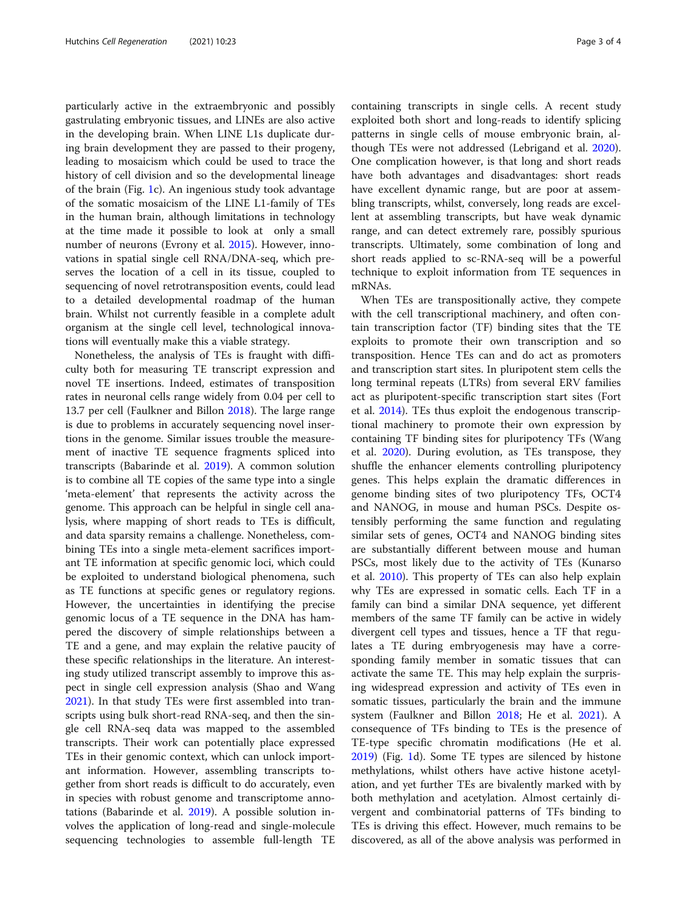particularly active in the extraembryonic and possibly gastrulating embryonic tissues, and LINEs are also active in the developing brain. When LINE L1s duplicate during brain development they are passed to their progeny, leading to mosaicism which could be used to trace the history of cell division and so the developmental lineage of the brain (Fig. [1](#page-1-0)c). An ingenious study took advantage of the somatic mosaicism of the LINE L1-family of TEs in the human brain, although limitations in technology at the time made it possible to look at only a small number of neurons (Evrony et al. [2015\)](#page-3-0). However, innovations in spatial single cell RNA/DNA-seq, which preserves the location of a cell in its tissue, coupled to sequencing of novel retrotransposition events, could lead to a detailed developmental roadmap of the human brain. Whilst not currently feasible in a complete adult organism at the single cell level, technological innovations will eventually make this a viable strategy.

Nonetheless, the analysis of TEs is fraught with difficulty both for measuring TE transcript expression and novel TE insertions. Indeed, estimates of transposition rates in neuronal cells range widely from 0.04 per cell to 13.7 per cell (Faulkner and Billon [2018](#page-3-0)). The large range is due to problems in accurately sequencing novel insertions in the genome. Similar issues trouble the measurement of inactive TE sequence fragments spliced into transcripts (Babarinde et al. [2019\)](#page-3-0). A common solution is to combine all TE copies of the same type into a single 'meta-element' that represents the activity across the genome. This approach can be helpful in single cell analysis, where mapping of short reads to TEs is difficult, and data sparsity remains a challenge. Nonetheless, combining TEs into a single meta-element sacrifices important TE information at specific genomic loci, which could be exploited to understand biological phenomena, such as TE functions at specific genes or regulatory regions. However, the uncertainties in identifying the precise genomic locus of a TE sequence in the DNA has hampered the discovery of simple relationships between a TE and a gene, and may explain the relative paucity of these specific relationships in the literature. An interesting study utilized transcript assembly to improve this aspect in single cell expression analysis (Shao and Wang [2021](#page-3-0)). In that study TEs were first assembled into transcripts using bulk short-read RNA-seq, and then the single cell RNA-seq data was mapped to the assembled transcripts. Their work can potentially place expressed TEs in their genomic context, which can unlock important information. However, assembling transcripts together from short reads is difficult to do accurately, even in species with robust genome and transcriptome annotations (Babarinde et al. [2019\)](#page-3-0). A possible solution involves the application of long-read and single-molecule sequencing technologies to assemble full-length TE containing transcripts in single cells. A recent study exploited both short and long-reads to identify splicing patterns in single cells of mouse embryonic brain, although TEs were not addressed (Lebrigand et al. [2020](#page-3-0)). One complication however, is that long and short reads have both advantages and disadvantages: short reads have excellent dynamic range, but are poor at assembling transcripts, whilst, conversely, long reads are excellent at assembling transcripts, but have weak dynamic range, and can detect extremely rare, possibly spurious transcripts. Ultimately, some combination of long and short reads applied to sc-RNA-seq will be a powerful technique to exploit information from TE sequences in mRNAs.

When TEs are transpositionally active, they compete with the cell transcriptional machinery, and often contain transcription factor (TF) binding sites that the TE exploits to promote their own transcription and so transposition. Hence TEs can and do act as promoters and transcription start sites. In pluripotent stem cells the long terminal repeats (LTRs) from several ERV families act as pluripotent-specific transcription start sites (Fort et al. [2014](#page-3-0)). TEs thus exploit the endogenous transcriptional machinery to promote their own expression by containing TF binding sites for pluripotency TFs (Wang et al. [2020](#page-3-0)). During evolution, as TEs transpose, they shuffle the enhancer elements controlling pluripotency genes. This helps explain the dramatic differences in genome binding sites of two pluripotency TFs, OCT4 and NANOG, in mouse and human PSCs. Despite ostensibly performing the same function and regulating similar sets of genes, OCT4 and NANOG binding sites are substantially different between mouse and human PSCs, most likely due to the activity of TEs (Kunarso et al. [2010\)](#page-3-0). This property of TEs can also help explain why TEs are expressed in somatic cells. Each TF in a family can bind a similar DNA sequence, yet different members of the same TF family can be active in widely divergent cell types and tissues, hence a TF that regulates a TE during embryogenesis may have a corresponding family member in somatic tissues that can activate the same TE. This may help explain the surprising widespread expression and activity of TEs even in somatic tissues, particularly the brain and the immune system (Faulkner and Billon [2018](#page-3-0); He et al. [2021](#page-3-0)). A consequence of TFs binding to TEs is the presence of TE-type specific chromatin modifications (He et al. [2019](#page-3-0)) (Fig. [1d](#page-1-0)). Some TE types are silenced by histone methylations, whilst others have active histone acetylation, and yet further TEs are bivalently marked with by both methylation and acetylation. Almost certainly divergent and combinatorial patterns of TFs binding to TEs is driving this effect. However, much remains to be discovered, as all of the above analysis was performed in